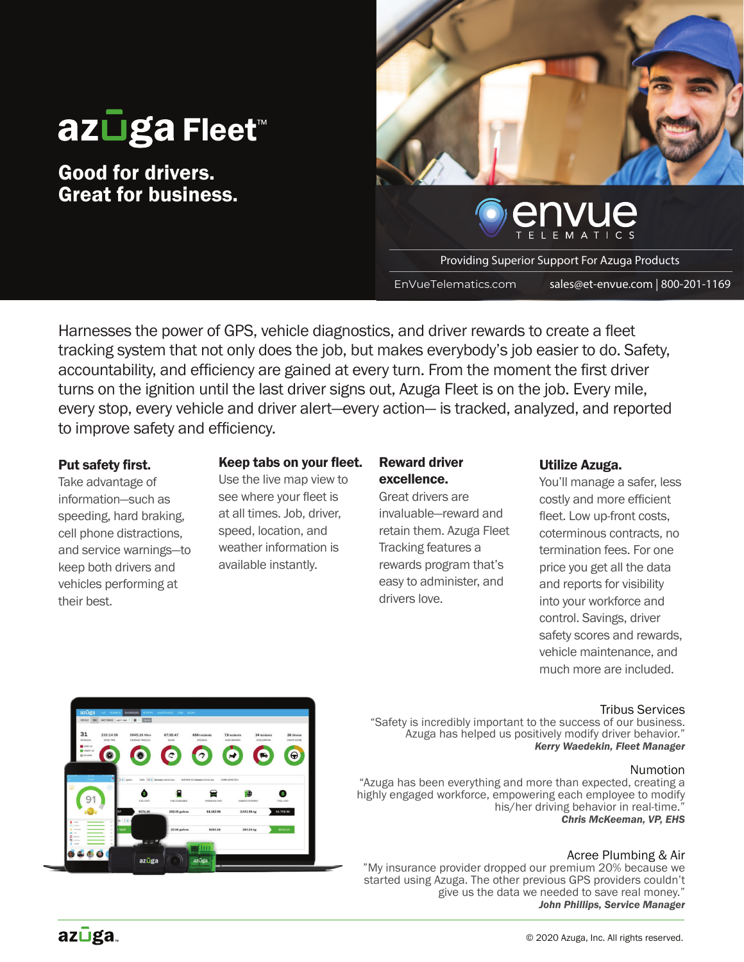# az**∐ga Fleet**™

Good for drivers. Great for business.



Providing Superior Support For Azuga Products

EnVueTelematics.com sales@et-envue.com | 800-201-1169

Harnesses the power of GPS, vehicle diagnostics, and driver rewards to create a fleet tracking system that not only does the job, but makes everybody's job easier to do. Safety, accountability, and efficiency are gained at every turn. From the moment the first driver turns on the ignition until the last driver signs out. Azuga Fleet is on the job. Every mile, every stop, every vehicle and driver alert—every action— is tracked, analyzed, and reported to improve safety and efficiency.

#### Put safety first.

Take advantage of information—such as speeding, hard braking, cell phone distractions, and service warnings—to keep both drivers and vehicles performing at their best.

#### Keep tabs on your fleet.

Use the live map view to see where your fleet is at all times. Job, driver, speed, location, and weather information is available instantly.

#### Reward driver excellence.

Great drivers are invaluable—reward and retain them. Azuga Fleet Tracking features a rewards program that's easy to administer, and drivers love.

#### Utilize Azuga.

You'll manage a safer, less costly and more efficient fleet. Low up-front costs. coterminous contracts, no termination fees. For one price you get all the data and reports for visibility into your workforce and control. Savings, driver safety scores and rewards, vehicle maintenance, and much more are included.

#### Tribus Services

"Safety is incredibly important to the success of our business. Azuga has helped us positively modify driver behavior." *Kerry Waedekin, Fleet Manager*

#### Numotion

"Azuga has been everything and more than expected, creating a highly engaged workforce, empowering each employee to modify his/her driving behavior in real-time. *Chris McKeeman, VP, EHS*

#### Acree Plumbing & Air

"My insurance provider dropped our premium 20% because we started using Azuga. The other previous GPS providers couldn't give us the data we needed to save real money." *John Phillips, Service Manager*